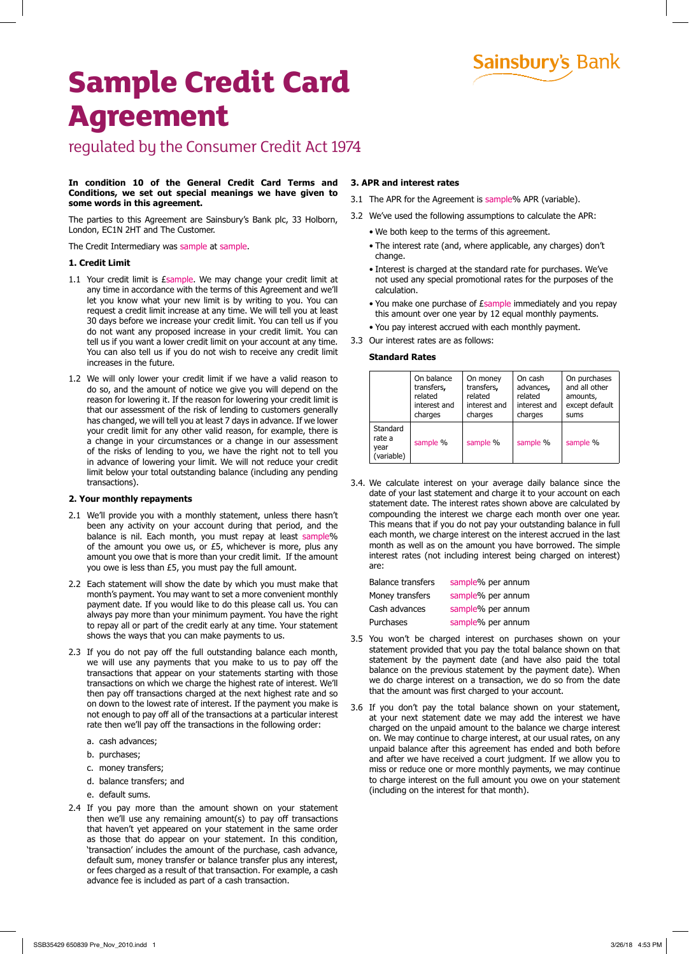**Sainsbury's Bank** 

# **Sample Credit Card Agreement**

regulated by the Consumer Credit Act 1974

## **In condition 10 of the General Credit Card Terms and Conditions, we set out special meanings we have given to some words in this agreement.**

The parties to this Agreement are Sainsbury's Bank plc, 33 Holborn, London, EC1N 2HT and The Customer.

The Credit Intermediary was sample at sample.

# **1. Credit Limit**

- 1.1 Your credit limit is *Esample*. We may change your credit limit at any time in accordance with the terms of this Agreement and we'll let you know what your new limit is by writing to you. You can request a credit limit increase at any time. We will tell you at least 30 days before we increase your credit limit. You can tell us if you do not want any proposed increase in your credit limit. You can tell us if you want a lower credit limit on your account at any time. You can also tell us if you do not wish to receive any credit limit increases in the future.
- 1.2 We will only lower your credit limit if we have a valid reason to do so, and the amount of notice we give you will depend on the reason for lowering it. If the reason for lowering your credit limit is that our assessment of the risk of lending to customers generally has changed, we will tell you at least 7 days in advance. If we lower your credit limit for any other valid reason, for example, there is a change in your circumstances or a change in our assessment of the risks of lending to you, we have the right not to tell you in advance of lowering your limit. We will not reduce your credit limit below your total outstanding balance (including any pending transactions).

# **2. Your monthly repayments**

- 2.1 We'll provide you with a monthly statement, unless there hasn't been any activity on your account during that period, and the balance is nil. Each month, you must repay at least sample% of the amount you owe us, or £5, whichever is more, plus any amount you owe that is more than your credit limit. If the amount you owe is less than £5, you must pay the full amount.
- 2.2 Each statement will show the date by which you must make that month's payment. You may want to set a more convenient monthly payment date. If you would like to do this please call us. You can always pay more than your minimum payment. You have the right to repay all or part of the credit early at any time. Your statement shows the ways that you can make payments to us.
- 2.3 If you do not pay off the full outstanding balance each month, we will use any payments that you make to us to pay off the transactions that appear on your statements starting with those transactions on which we charge the highest rate of interest. We'll then pay off transactions charged at the next highest rate and so on down to the lowest rate of interest. If the payment you make is not enough to pay off all of the transactions at a particular interest rate then we'll pay off the transactions in the following order:
	- a. cash advances;
	- b. purchases;
	- c. money transfers;
	- d. balance transfers; and
	- e. default sums.
- 2.4 If you pay more than the amount shown on your statement then we'll use any remaining amount(s) to pay off transactions that haven't yet appeared on your statement in the same order as those that do appear on your statement. In this condition, 'transaction' includes the amount of the purchase, cash advance, default sum, money transfer or balance transfer plus any interest, or fees charged as a result of that transaction. For example, a cash advance fee is included as part of a cash transaction.

### **3. APR and interest rates**

- 3.1 The APR for the Agreement is sample% APR (variable).
- 3.2 We've used the following assumptions to calculate the APR:
	- We both keep to the terms of this agreement.
	- The interest rate (and, where applicable, any charges) don't change.
	- Interest is charged at the standard rate for purchases. We've not used any special promotional rates for the purposes of the calculation.
	- You make one purchase of *Esample* immediately and you repay this amount over one year by 12 equal monthly payments.
	- You pay interest accrued with each monthly payment.
- 3.3 Our interest rates are as follows:

# **Standard Rates**

|                                          | On balance   | On money     | On cash      | On purchases   |
|------------------------------------------|--------------|--------------|--------------|----------------|
|                                          | transfers,   | transfers,   | advances,    | and all other  |
|                                          | related      | related      | related      | amounts,       |
|                                          | interest and | interest and | interest and | except default |
|                                          | charges      | charges      | charges      | sums           |
| Standard<br>rate a<br>year<br>(variable) | sample %     | sample %     | sample %     | sample %       |

3.4. We calculate interest on your average daily balance since the date of your last statement and charge it to your account on each statement date. The interest rates shown above are calculated by compounding the interest we charge each month over one year. This means that if you do not pay your outstanding balance in full each month, we charge interest on the interest accrued in the last month as well as on the amount you have borrowed. The simple interest rates (not including interest being charged on interest) are:

| sample% per annum |
|-------------------|
| sample% per annum |
| sample% per annum |
| sample% per annum |
|                   |

- 3.5 You won't be charged interest on purchases shown on your statement provided that you pay the total balance shown on that statement by the payment date (and have also paid the total balance on the previous statement by the payment date). When we do charge interest on a transaction, we do so from the date that the amount was first charged to your account.
- 3.6 If you don't pay the total balance shown on your statement, at your next statement date we may add the interest we have charged on the unpaid amount to the balance we charge interest on. We may continue to charge interest, at our usual rates, on any unpaid balance after this agreement has ended and both before and after we have received a court judgment. If we allow you to miss or reduce one or more monthly payments, we may continue to charge interest on the full amount you owe on your statement (including on the interest for that month).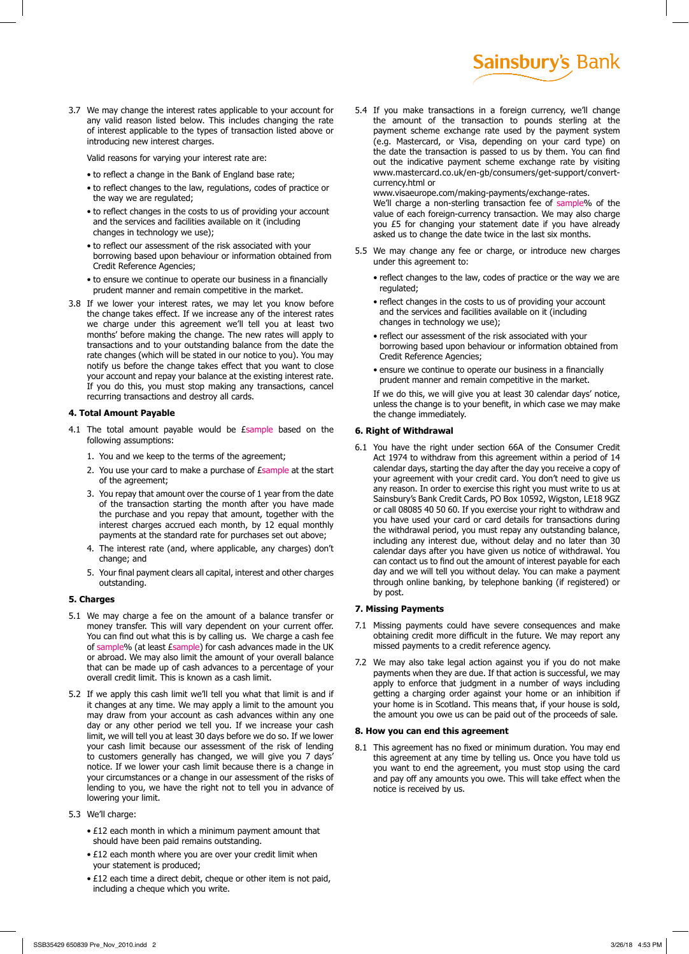3.7 We may change the interest rates applicable to your account for any valid reason listed below. This includes changing the rate of interest applicable to the types of transaction listed above or introducing new interest charges.

Valid reasons for varying your interest rate are:

- to reflect a change in the Bank of England base rate;
- to reflect changes to the law, regulations, codes of practice or the way we are regulated;
- to reflect changes in the costs to us of providing your account and the services and facilities available on it (including changes in technology we use);
- to reflect our assessment of the risk associated with your borrowing based upon behaviour or information obtained from Credit Reference Agencies;
- to ensure we continue to operate our business in a financially prudent manner and remain competitive in the market.
- 3.8 If we lower your interest rates, we may let you know before the change takes effect. If we increase any of the interest rates we charge under this agreement we'll tell you at least two months' before making the change. The new rates will apply to transactions and to your outstanding balance from the date the rate changes (which will be stated in our notice to you). You may notify us before the change takes effect that you want to close your account and repay your balance at the existing interest rate. If you do this, you must stop making any transactions, cancel recurring transactions and destroy all cards.

## **4. Total Amount Payable**

- 4.1 The total amount payable would be Esample based on the following assumptions:
	- 1. You and we keep to the terms of the agreement;
	- 2. You use your card to make a purchase of *Esample* at the start of the agreement;
	- 3. You repay that amount over the course of 1 year from the date of the transaction starting the month after you have made the purchase and you repay that amount, together with the interest charges accrued each month, by 12 equal monthly payments at the standard rate for purchases set out above;
	- 4. The interest rate (and, where applicable, any charges) don't change; and
	- 5. Your final payment clears all capital, interest and other charges outstanding.

#### **5. Charges**

- 5.1 We may charge a fee on the amount of a balance transfer or money transfer. This will vary dependent on your current offer. You can find out what this is by calling us. We charge a cash fee of sample% (at least £sample) for cash advances made in the UK or abroad. We may also limit the amount of your overall balance that can be made up of cash advances to a percentage of your overall credit limit. This is known as a cash limit.
- 5.2 If we apply this cash limit we'll tell you what that limit is and if it changes at any time. We may apply a limit to the amount you may draw from your account as cash advances within any one day or any other period we tell you. If we increase your cash limit, we will tell you at least 30 days before we do so. If we lower your cash limit because our assessment of the risk of lending to customers generally has changed, we will give you 7 days' notice. If we lower your cash limit because there is a change in your circumstances or a change in our assessment of the risks of lending to you, we have the right not to tell you in advance of lowering your limit.
- 5.3 We'll charge:
	- £12 each month in which a minimum payment amount that should have been paid remains outstanding.
	- £12 each month where you are over your credit limit when your statement is produced;
	- £12 each time a direct debit, cheque or other item is not paid, including a cheque which you write.

5.4 If you make transactions in a foreign currency, we'll change the amount of the transaction to pounds sterling at the payment scheme exchange rate used by the payment system (e.g. Mastercard, or Visa, depending on your card type) on the date the transaction is passed to us by them. You can find out the indicative payment scheme exchange rate by visiting www.mastercard.co.uk/en-gb/consumers/get-support/convertcurrency.html or

**Sainsbury's Bank** 

www.visaeurope.com/making-payments/exchange-rates. We'll charge a non-sterling transaction fee of sample% of the value of each foreign-currency transaction. We may also charge you £5 for changing your statement date if you have already asked us to change the date twice in the last six months.

- 5.5 We may change any fee or charge, or introduce new charges under this agreement to:
	- reflect changes to the law, codes of practice or the way we are regulated;
	- reflect changes in the costs to us of providing your account and the services and facilities available on it (including changes in technology we use);
	- reflect our assessment of the risk associated with your borrowing based upon behaviour or information obtained from Credit Reference Agencies;
	- ensure we continue to operate our business in a financially prudent manner and remain competitive in the market.

If we do this, we will give you at least 30 calendar days' notice, unless the change is to your benefit, in which case we may make the change immediately.

#### **6. Right of Withdrawal**

6.1 You have the right under section 66A of the Consumer Credit Act 1974 to withdraw from this agreement within a period of 14 calendar days, starting the day after the day you receive a copy of your agreement with your credit card. You don't need to give us any reason. In order to exercise this right you must write to us at Sainsbury's Bank Credit Cards, PO Box 10592, Wigston, LE18 9GZ or call 08085 40 50 60. If you exercise your right to withdraw and you have used your card or card details for transactions during the withdrawal period, you must repay any outstanding balance, including any interest due, without delay and no later than 30 calendar days after you have given us notice of withdrawal. You can contact us to find out the amount of interest payable for each day and we will tell you without delay. You can make a payment through online banking, by telephone banking (if registered) or by post.

#### **7. Missing Payments**

- 7.1 Missing payments could have severe consequences and make obtaining credit more difficult in the future. We may report any missed payments to a credit reference agency.
- 7.2 We may also take legal action against you if you do not make payments when they are due. If that action is successful, we may apply to enforce that judgment in a number of ways including getting a charging order against your home or an inhibition if your home is in Scotland. This means that, if your house is sold, the amount you owe us can be paid out of the proceeds of sale.

#### **8. How you can end this agreement**

8.1 This agreement has no fixed or minimum duration. You may end this agreement at any time by telling us. Once you have told us you want to end the agreement, you must stop using the card and pay off any amounts you owe. This will take effect when the notice is received by us.